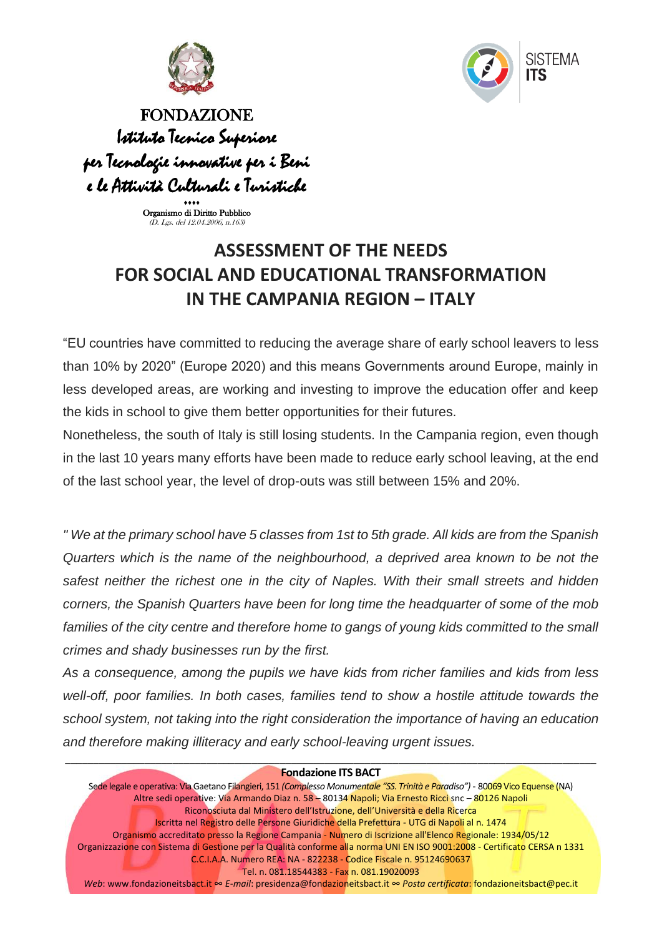



FONDAZIONE Istituto Tecnico Superiore per Tecnologie innovative per i Beni e le Attività Culturali e Turistiche

> $***$ Organismo di Diritto Pubblico (D. Lgs. del 12.04.2006, n.163)

## **ASSESSMENT OF THE NEEDS FOR SOCIAL AND EDUCATIONAL TRANSFORMATION IN THE CAMPANIA REGION – ITALY**

"EU countries have committed to reducing the average share of early school leavers to less than 10% by 2020" (Europe 2020) and this means Governments around Europe, mainly in less developed areas, are working and investing to improve the education offer and keep the kids in school to give them better opportunities for their futures.

Nonetheless, the south of Italy is still losing students. In the Campania region, even though in the last 10 years many efforts have been made to reduce early school leaving, at the end of the last school year, the level of drop-outs was still between 15% and 20%.

*" We at the primary school have 5 classes from 1st to 5th grade. All kids are from the Spanish Quarters which is the name of the neighbourhood, a deprived area known to be not the safest neither the richest one in the city of Naples. With their small streets and hidden corners, the Spanish Quarters have been for long time the headquarter of some of the mob*  families of the city centre and therefore home to gangs of young kids committed to the small *crimes and shady businesses run by the first.*

*As a consequence, among the pupils we have kids from richer families and kids from less well-off, poor families. In both cases, families tend to show a hostile attitude towards the school system, not taking into the right consideration the importance of having an education and therefore making illiteracy and early school-leaving urgent issues.*

## **Fondazione ITS BACT**

Sede legale e operativa: Via Gaetano Filangieri, 151 *(Complesso Monumentale "SS. Trinità e Paradiso")* - 80069 Vico Equense (NA) Altre sedi operative: Via Armando Diaz n. 58 – 80134 Napoli; Via Ernesto Ricci snc – 80126 Napoli Riconosciuta dal Ministero dell'Istruzione, dell'Università e della Ricerca Iscritta nel Registro delle Persone Giuridiche della Prefettura - UTG di Napoli al n. 1474 Organismo accreditato presso la Regione Campania - Numero di Iscrizione all'Elenco Regionale: 1934/05/12 Organizzazione con Sistema di Gestione per la Qualità conforme alla norma UNI EN ISO 9001:2008 - Certificato CERSA n 1331 C.C.I.A.A. Numero REA: NA - 822238 - Codice Fiscale n. 95124690637 Tel. n. 081.18544383 - Fax n. 081.19020093

*Web*: www.fondazioneitsbact.it ∞ *E-mail*: presidenza@fondazioneitsbact.it ∞ *Posta certificata*: fondazioneitsbact@pec.it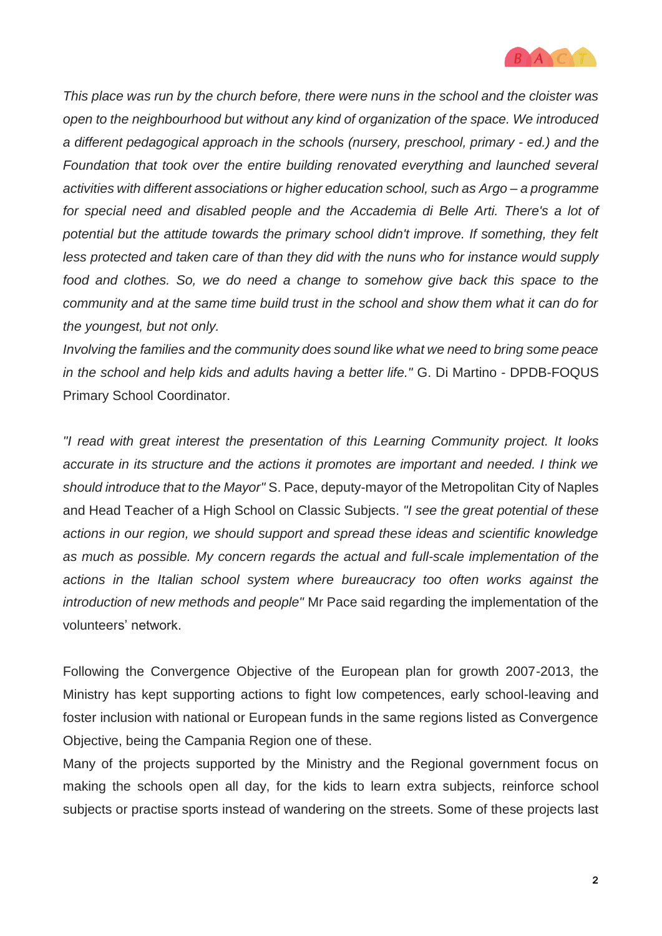

*This place was run by the church before, there were nuns in the school and the cloister was open to the neighbourhood but without any kind of organization of the space. We introduced a different pedagogical approach in the schools (nursery, preschool, primary - ed.) and the Foundation that took over the entire building renovated everything and launched several activities with different associations or higher education school, such as Argo – a programme for special need and disabled people and the Accademia di Belle Arti. There's a lot of potential but the attitude towards the primary school didn't improve. If something, they felt less protected and taken care of than they did with the nuns who for instance would supply food and clothes. So, we do need a change to somehow give back this space to the community and at the same time build trust in the school and show them what it can do for the youngest, but not only.* 

*Involving the families and the community does sound like what we need to bring some peace in the school and help kids and adults having a better life."* G. Di Martino - DPDB-FOQUS Primary School Coordinator.

*"I read with great interest the presentation of this Learning Community project. It looks accurate in its structure and the actions it promotes are important and needed. I think we should introduce that to the Mayor"* S. Pace, deputy-mayor of the Metropolitan City of Naples and Head Teacher of a High School on Classic Subjects. *"I see the great potential of these actions in our region, we should support and spread these ideas and scientific knowledge as much as possible. My concern regards the actual and full-scale implementation of the actions in the Italian school system where bureaucracy too often works against the introduction of new methods and people"* Mr Pace said regarding the implementation of the volunteers' network.

Following the Convergence Objective of the European plan for growth 2007-2013, the Ministry has kept supporting actions to fight low competences, early school-leaving and foster inclusion with national or European funds in the same regions listed as Convergence Objective, being the Campania Region one of these.

Many of the projects supported by the Ministry and the Regional government focus on making the schools open all day, for the kids to learn extra subjects, reinforce school subjects or practise sports instead of wandering on the streets. Some of these projects last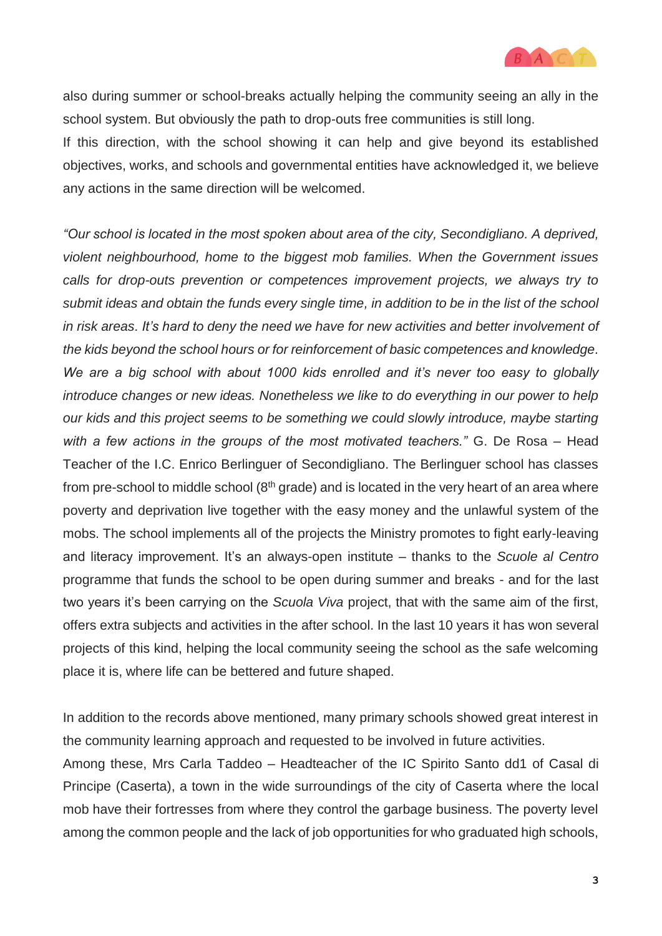

also during summer or school-breaks actually helping the community seeing an ally in the school system. But obviously the path to drop-outs free communities is still long.

If this direction, with the school showing it can help and give beyond its established objectives, works, and schools and governmental entities have acknowledged it, we believe any actions in the same direction will be welcomed.

*"Our school is located in the most spoken about area of the city, Secondigliano. A deprived, violent neighbourhood, home to the biggest mob families. When the Government issues calls for drop-outs prevention or competences improvement projects, we always try to submit ideas and obtain the funds every single time, in addition to be in the list of the school in risk areas. It's hard to deny the need we have for new activities and better involvement of the kids beyond the school hours or for reinforcement of basic competences and knowledge. We are a big school with about 1000 kids enrolled and it's never too easy to globally introduce changes or new ideas. Nonetheless we like to do everything in our power to help our kids and this project seems to be something we could slowly introduce, maybe starting with a few actions in the groups of the most motivated teachers."* G. De Rosa – Head Teacher of the I.C. Enrico Berlinguer of Secondigliano. The Berlinguer school has classes from pre-school to middle school  $(8<sup>th</sup>$  grade) and is located in the very heart of an area where poverty and deprivation live together with the easy money and the unlawful system of the mobs. The school implements all of the projects the Ministry promotes to fight early-leaving and literacy improvement. It's an always-open institute – thanks to the *Scuole al Centro* programme that funds the school to be open during summer and breaks - and for the last two years it's been carrying on the *Scuola Viva* project, that with the same aim of the first, offers extra subjects and activities in the after school. In the last 10 years it has won several projects of this kind, helping the local community seeing the school as the safe welcoming place it is, where life can be bettered and future shaped.

In addition to the records above mentioned, many primary schools showed great interest in the community learning approach and requested to be involved in future activities.

Among these, Mrs Carla Taddeo – Headteacher of the IC Spirito Santo dd1 of Casal di Principe (Caserta), a town in the wide surroundings of the city of Caserta where the local mob have their fortresses from where they control the garbage business. The poverty level among the common people and the lack of job opportunities for who graduated high schools,